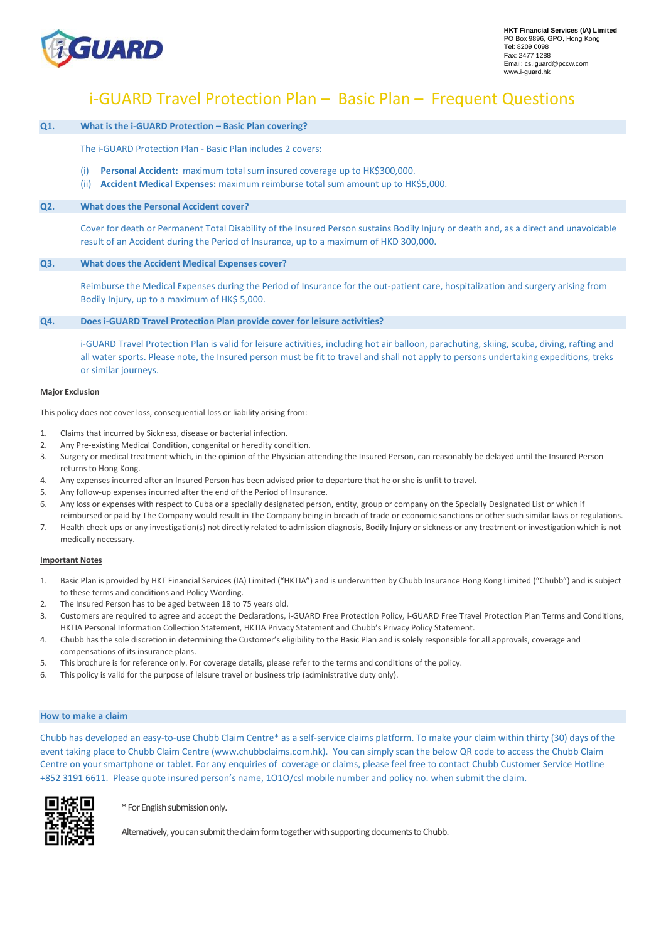

# i-GUARD Travel Protection Plan – Basic Plan – Frequent Questions

### **Q1. What is the i-GUARD Protection – Basic Plan covering?**

The i-GUARD Protection Plan - Basic Plan includes 2 covers:

- (i) **Personal Accident:** maximum total sum insured coverage up to HK\$300,000.
- (ii) **Accident Medical Expenses:** maximum reimburse total sum amount up to HK\$5,000.

### **Q2. What does the Personal Accident cover?**

Cover for death or Permanent Total Disability of the Insured Person sustains Bodily Injury or death and, as a direct and unavoidable result of an Accident during the Period of Insurance, up to a maximum of HKD 300,000.

### **Q3. What does the Accident Medical Expenses cover?**

Reimburse the Medical Expenses during the Period of Insurance for the out-patient care, hospitalization and surgery arising from Bodily Injury, up to a maximum of HK\$ 5,000.

#### **Q4. Does i-GUARD Travel Protection Plan provide cover for leisure activities?**

i-GUARD Travel Protection Plan is valid for leisure activities, including hot air balloon, parachuting, skiing, scuba, diving, rafting and all water sports. Please note, the Insured person must be fit to travel and shall not apply to persons undertaking expeditions, treks or similar journeys.

### **Major Exclusion**

This policy does not cover loss, consequential loss or liability arising from:

- 1. Claims that incurred by Sickness, disease or bacterial infection.
- 2. Any Pre-existing Medical Condition, congenital or heredity condition.
- 3. Surgery or medical treatment which, in the opinion of the Physician attending the Insured Person, can reasonably be delayed until the Insured Person returns to Hong Kong.
- 4. Any expenses incurred after an Insured Person has been advised prior to departure that he or she is unfit to travel.
- 5. Any follow-up expenses incurred after the end of the Period of Insurance.
- 6. Any loss or expenses with respect to Cuba or a specially designated person, entity, group or company on the Specially Designated List or which if
- reimbursed or paid by The Company would result in The Company being in breach of trade or economic sanctions or other such similar laws or regulations. 7. Health check-ups or any investigation(s) not directly related to admission diagnosis, Bodily Injury or sickness or any treatment or investigation which is not medically necessary.

#### **Important Notes**

- 1. Basic Plan is provided by HKT Financial Services (IA) Limited ("HKTIA") and is underwritten by Chubb Insurance Hong Kong Limited ("Chubb") and is subject to these terms and conditions and Policy Wording.
- 2. The Insured Person has to be aged between 18 to 75 years old.
- 3. Customers are required to agree and accept the Declarations, i-GUARD Free Protection Policy, i-GUARD Free Travel Protection Plan Terms and Conditions, HKTIA Personal Information Collection Statement, HKTIA Privacy Statement and Chubb's Privacy Policy Statement.
- 4. Chubb has the sole discretion in determining the Customer's eligibility to the Basic Plan and is solely responsible for all approvals, coverage and compensations of its insurance plans.
- 5. This brochure is for reference only. For coverage details, please refer to the terms and conditions of the policy.
- 6. This policy is valid for the purpose of leisure travel or business trip (administrative duty only).

### **How to make a claim**

Chubb has developed an easy-to-use Chubb Claim Centre\* as a self-service claims platform. To make your claim within thirty (30) days of the event taking place to Chubb Claim Centre (www.chubbclaims.com.hk). You can simply scan the below QR code to access the Chubb Claim Centre on your smartphone or tablet. For any enquiries of coverage or claims, please feel free to contact Chubb Customer Service Hotline +852 3191 6611. Please quote insured person's name, 1O1O/csl mobile number and policy no. when submit the claim.



\* For English submission only.

Alternatively, you can submit the claim form together with supporting documents to Chubb.